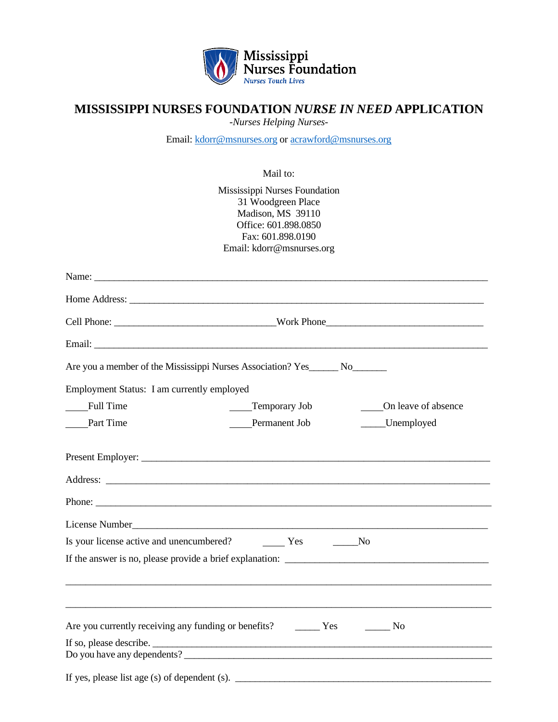

## **MISSISSIPPI NURSES FOUNDATION** *NURSE IN NEED* **APPLICATION**

*-Nurses Helping Nurses-*

Email: [kdorr@msnurses.org](mailto:kdorr@msnurses.org) o[r acrawford@msnurses.org](mailto:acrawford@msnurses.org)

Mail to:

|                                            | Mississippi Nurses Foundation                                                   |                     |
|--------------------------------------------|---------------------------------------------------------------------------------|---------------------|
|                                            | 31 Woodgreen Place<br>Madison, MS 39110                                         |                     |
|                                            | Office: 601.898.0850                                                            |                     |
|                                            | Fax: 601.898.0190<br>Email: kdorr@msnurses.org                                  |                     |
|                                            |                                                                                 |                     |
|                                            |                                                                                 |                     |
|                                            |                                                                                 |                     |
|                                            |                                                                                 |                     |
|                                            |                                                                                 |                     |
|                                            | Are you a member of the Mississippi Nurses Association? Yes _______ No_________ |                     |
| Employment Status: I am currently employed |                                                                                 |                     |
| Full Time                                  | Temporary Job                                                                   | On leave of absence |
| Part Time                                  | Permanent Job                                                                   | ____Unemployed      |
|                                            |                                                                                 |                     |
|                                            |                                                                                 |                     |
|                                            |                                                                                 |                     |
|                                            |                                                                                 |                     |
|                                            |                                                                                 |                     |
|                                            |                                                                                 |                     |
|                                            |                                                                                 |                     |
|                                            |                                                                                 |                     |
|                                            |                                                                                 |                     |
|                                            |                                                                                 | N <sub>o</sub>      |
|                                            | Do you have any dependents?                                                     |                     |

If yes, please list age (s) of dependent (s).  $\qquad \qquad \qquad$